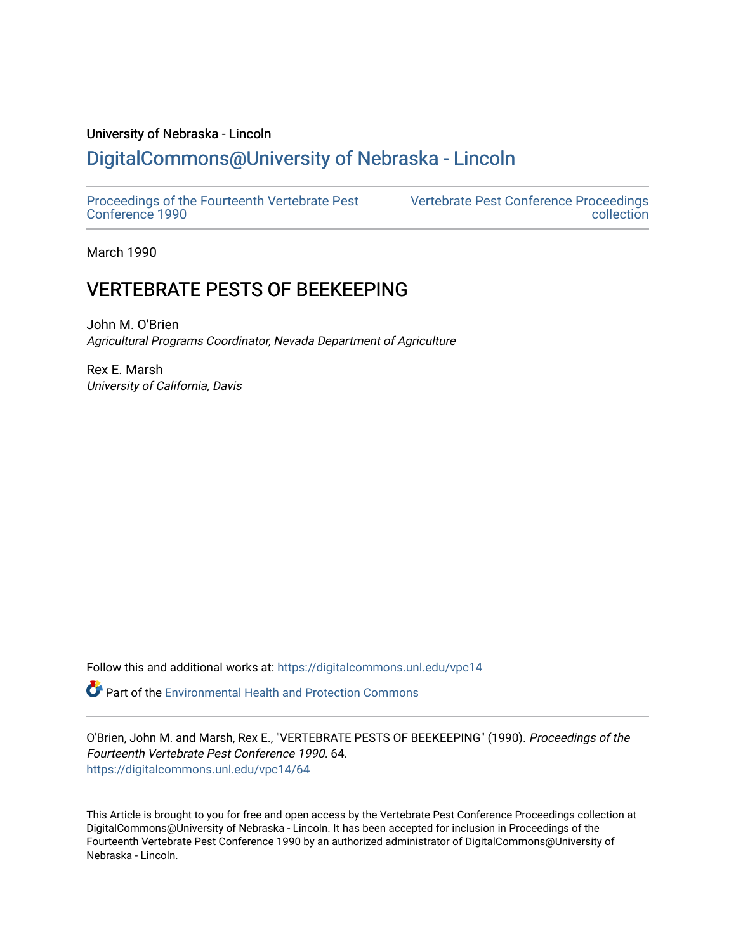# University of Nebraska - Lincoln

# [DigitalCommons@University of Nebraska - Lincoln](https://digitalcommons.unl.edu/)

[Proceedings of the Fourteenth Vertebrate Pest](https://digitalcommons.unl.edu/vpc14)  [Conference 1990](https://digitalcommons.unl.edu/vpc14) 

[Vertebrate Pest Conference Proceedings](https://digitalcommons.unl.edu/vpccollection)  [collection](https://digitalcommons.unl.edu/vpccollection) 

March 1990

# VERTEBRATE PESTS OF BEEKEEPING

John M. O'Brien Agricultural Programs Coordinator, Nevada Department of Agriculture

Rex E. Marsh University of California, Davis

Follow this and additional works at: [https://digitalcommons.unl.edu/vpc14](https://digitalcommons.unl.edu/vpc14?utm_source=digitalcommons.unl.edu%2Fvpc14%2F64&utm_medium=PDF&utm_campaign=PDFCoverPages) 

**P** Part of the Environmental Health and Protection Commons

O'Brien, John M. and Marsh, Rex E., "VERTEBRATE PESTS OF BEEKEEPING" (1990). Proceedings of the Fourteenth Vertebrate Pest Conference 1990. 64. [https://digitalcommons.unl.edu/vpc14/64](https://digitalcommons.unl.edu/vpc14/64?utm_source=digitalcommons.unl.edu%2Fvpc14%2F64&utm_medium=PDF&utm_campaign=PDFCoverPages) 

This Article is brought to you for free and open access by the Vertebrate Pest Conference Proceedings collection at DigitalCommons@University of Nebraska - Lincoln. It has been accepted for inclusion in Proceedings of the Fourteenth Vertebrate Pest Conference 1990 by an authorized administrator of DigitalCommons@University of Nebraska - Lincoln.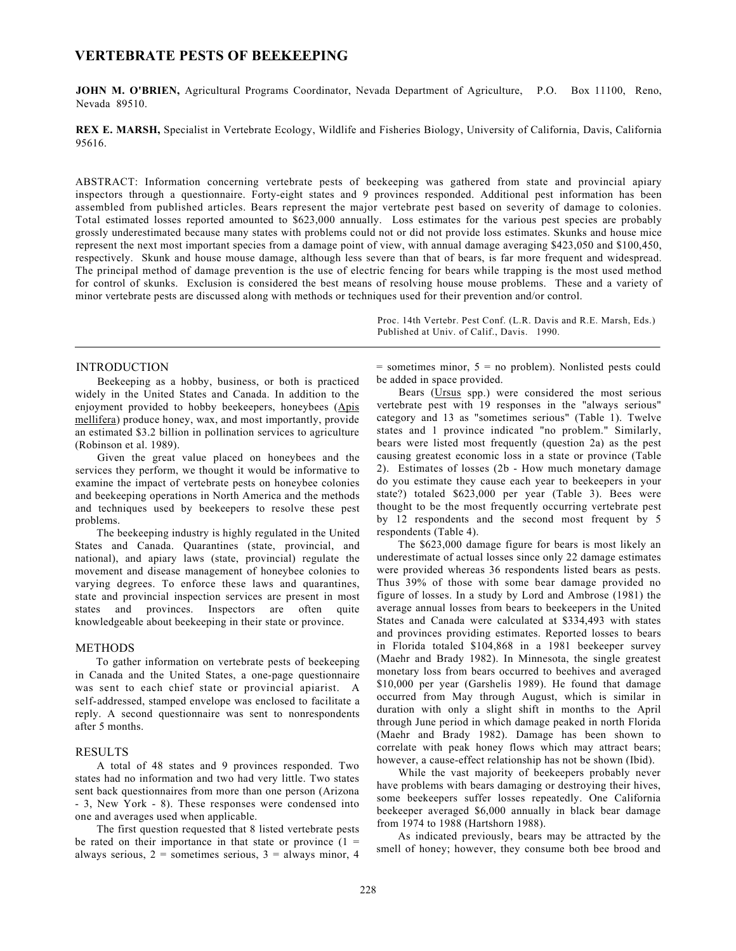# **VERTEBRATE PESTS OF BEEKEEPING**

**JOHN M. O'BRIEN,** Agricultural Programs Coordinator, Nevada Department of Agriculture, P.O. Box 11100, Reno, Nevada 89510.

**REX E. MARSH,** Specialist in Vertebrate Ecology, Wildlife and Fisheries Biology, University of California, Davis, California 95616.

ABSTRACT: Information concerning vertebrate pests of beekeeping was gathered from state and provincial apiary inspectors through a questionnaire. Forty-eight states and 9 provinces responded. Additional pest information has been assembled from published articles. Bears represent the major vertebrate pest based on severity of damage to colonies. Total estimated losses reported amounted to \$623,000 annually. Loss estimates for the various pest species are probably grossly underestimated because many states with problems could not or did not provide loss estimates. Skunks and house mice represent the next most important species from a damage point of view, with annual damage averaging \$423,050 and \$100,450, respectively. Skunk and house mouse damage, although less severe than that of bears, is far more frequent and widespread. The principal method of damage prevention is the use of electric fencing for bears while trapping is the most used method for control of skunks. Exclusion is considered the best means of resolving house mouse problems. These and a variety of minor vertebrate pests are discussed along with methods or techniques used for their prevention and/or control.

> Proc. 14th Vertebr. Pest Conf. (L.R. Davis and R.E. Marsh, Eds.) Published at Univ. of Calif., Davis. 1990.

### INTRODUCTION

Beekeeping as a hobby, business, or both is practiced widely in the United States and Canada. In addition to the enjoyment provided to hobby beekeepers, honeybees (Apis mellifera) produce honey, wax, and most importantly, provide an estimated \$3.2 billion in pollination services to agriculture (Robinson et al. 1989).

Given the great value placed on honeybees and the services they perform, we thought it would be informative to examine the impact of vertebrate pests on honeybee colonies and beekeeping operations in North America and the methods and techniques used by beekeepers to resolve these pest problems.

The beekeeping industry is highly regulated in the United States and Canada. Quarantines (state, provincial, and national), and apiary laws (state, provincial) regulate the movement and disease management of honeybee colonies to varying degrees. To enforce these laws and quarantines, state and provincial inspection services are present in most states and provinces. Inspectors are often quite knowledgeable about beekeeping in their state or province.

# METHODS

To gather information on vertebrate pests of beekeeping in Canada and the United States, a one-page questionnaire was sent to each chief state or provincial apiarist. A self-addressed, stamped envelope was enclosed to facilitate a reply. A second questionnaire was sent to nonrespondents after 5 months.

### RESULTS

A total of 48 states and 9 provinces responded. Two states had no information and two had very little. Two states sent back questionnaires from more than one person (Arizona - 3, New York - 8). These responses were condensed into one and averages used when applicable.

The first question requested that 8 listed vertebrate pests be rated on their importance in that state or province  $(1 =$ always serious,  $2 =$  sometimes serious,  $3 =$  always minor, 4

 $=$  sometimes minor,  $5 =$  no problem). Nonlisted pests could be added in space provided.

Bears (Ursus spp.) were considered the most serious vertebrate pest with 19 responses in the "always serious" category and 13 as "sometimes serious" (Table 1). Twelve states and 1 province indicated "no problem." Similarly, bears were listed most frequently (question 2a) as the pest causing greatest economic loss in a state or province (Table 2). Estimates of losses (2b - How much monetary damage do you estimate they cause each year to beekeepers in your state?) totaled \$623,000 per year (Table 3). Bees were thought to be the most frequently occurring vertebrate pest by 12 respondents and the second most frequent by 5 respondents (Table 4).

The \$623,000 damage figure for bears is most likely an underestimate of actual losses since only 22 damage estimates were provided whereas 36 respondents listed bears as pests. Thus 39% of those with some bear damage provided no figure of losses. In a study by Lord and Ambrose (1981) the average annual losses from bears to beekeepers in the United States and Canada were calculated at \$334,493 with states and provinces providing estimates. Reported losses to bears in Florida totaled \$104,868 in a 1981 beekeeper survey (Maehr and Brady 1982). In Minnesota, the single greatest monetary loss from bears occurred to beehives and averaged \$10,000 per year (Garshelis 1989). He found that damage occurred from May through August, which is similar in duration with only a slight shift in months to the April through June period in which damage peaked in north Florida (Maehr and Brady 1982). Damage has been shown to correlate with peak honey flows which may attract bears; however, a cause-effect relationship has not be shown (Ibid).

While the vast majority of beekeepers probably never have problems with bears damaging or destroying their hives, some beekeepers suffer losses repeatedly. One California beekeeper averaged \$6,000 annually in black bear damage from 1974 to 1988 (Hartshorn 1988).

As indicated previously, bears may be attracted by the smell of honey; however, they consume both bee brood and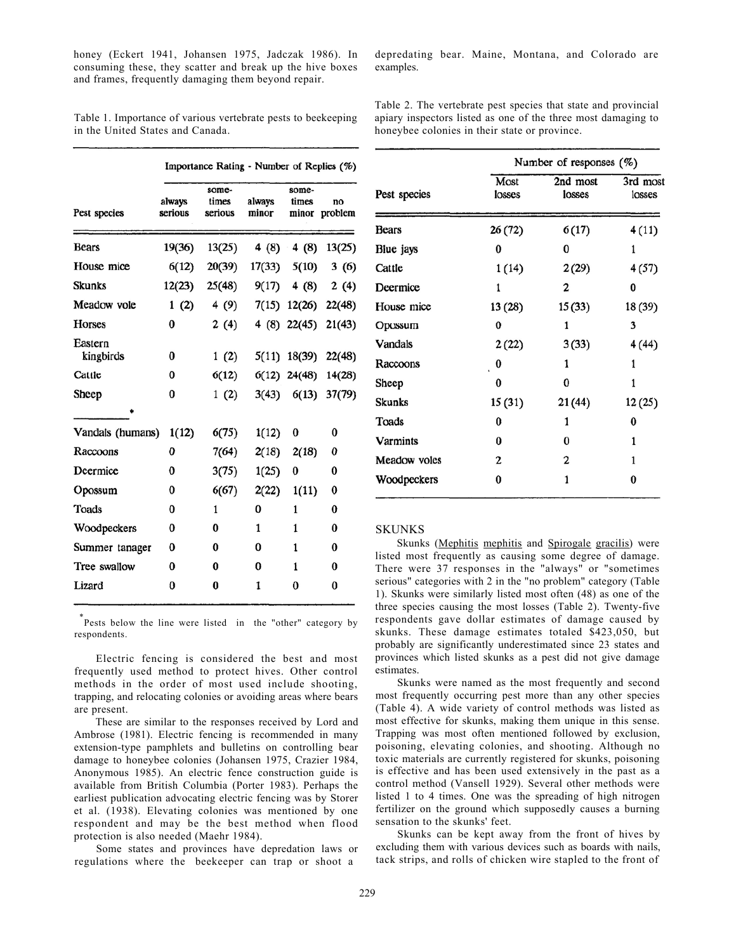honey (Eckert 1941, Johansen 1975, Jadczak 1986). In consuming these, they scatter and break up the hive boxes and frames, frequently damaging them beyond repair.

Table 1. Importance of various vertebrate pests to beekeeping in the United States and Canada.

|                      |                   | Importance Rating - Number of Replies (%) |                 |                |                       |  |
|----------------------|-------------------|-------------------------------------------|-----------------|----------------|-----------------------|--|
| Pest species         | always<br>serious | some-<br>times<br>serious                 | always<br>minor | some-<br>times | no<br>minor problem   |  |
| <b>Bears</b>         | 19(36)            | 13(25)                                    |                 |                | 4 (8) 4 (8) 13(25)    |  |
| House mice           | 6(12)             | 20(39)                                    | 17(33)          | 5(10)          | 3(6)                  |  |
| Skunks               | 12(23)            | 25(48)                                    | 9(17)           | 4 (8)          | 2(4)                  |  |
| Meadow vole          | 1(2)              | 4 (9)                                     |                 |                | 7(15) 12(26) 22(48)   |  |
| Horses               | $\bf{0}$          | 2(4)                                      |                 |                | 4 (8) 22(45) 21(43)   |  |
| Eastern<br>kingbirds | 0                 | 1(2)                                      |                 |                | 5(11) 18(39) 22(48)   |  |
| Cattle               | 0                 | 6(12)                                     |                 |                | $6(12)$ 24(48) 14(28) |  |
| Sheep                | $\bf{0}$          | 1(2)                                      |                 |                | 3(43) 6(13) 37(79)    |  |
|                      |                   |                                           |                 |                |                       |  |
| Vandals (humans)     | 1(12)             | 6(75)                                     | 1(12)           | 0              | 0                     |  |
| Raccoons             | 0                 | 7(64)                                     | 2(18)           | 2(18)          | 0                     |  |
| Deermice             | $\bf{0}$          | 3(75)                                     | 1(25)           | 0              | 0                     |  |
| Opossum              | 0                 | 6(67)                                     | 2(22)           | 1(11)          | 0                     |  |
| Toads                | 0                 | 1                                         | 0               | $\mathbf{1}$   | 0                     |  |
| Woodpeckers          | 0                 | 0                                         | $\mathbf{1}$    | $\mathbf{1}$   | 0                     |  |
| Summer tanager       | 0                 | 0                                         | 0               | 1              | 0                     |  |
| Tree swallow         | 0                 | 0                                         | 0               | 1              | 0                     |  |
| Lizard               | $\bf{0}$          | 0                                         | 1               | 0              | 0                     |  |
|                      |                   |                                           |                 |                |                       |  |

\* Pests below the line were listed in the "other" category by respondents.

Electric fencing is considered the best and most frequently used method to protect hives. Other control methods in the order of most used include shooting, trapping, and relocating colonies or avoiding areas where bears are present.

These are similar to the responses received by Lord and Ambrose (1981). Electric fencing is recommended in many extension-type pamphlets and bulletins on controlling bear damage to honeybee colonies (Johansen 1975, Crazier 1984, Anonymous 1985). An electric fence construction guide is available from British Columbia (Porter 1983). Perhaps the earliest publication advocating electric fencing was by Storer et al. (1938). Elevating colonies was mentioned by one respondent and may be the best method when flood protection is also needed (Maehr 1984).

Some states and provinces have depredation laws or regulations where the beekeeper can trap or shoot a

depredating bear. Maine, Montana, and Colorado are examples.

Table 2. The vertebrate pest species that state and provincial apiary inspectors listed as one of the three most damaging to honeybee colonies in their state or province.

|                 | Number of responses $(\%)$ |                    |                    |  |
|-----------------|----------------------------|--------------------|--------------------|--|
| Pest species    | Most<br>losses             | 2nd most<br>losses | 3rd most<br>losses |  |
| Bears           | 26 (72)                    | 6(17)              | 4(11)              |  |
| Blue jays       | 0                          | 0                  | 1                  |  |
| Cattle          | 1(14)                      | 2(29)              | 4(57)              |  |
| Deermice        | 1                          | 2                  | 0                  |  |
| House mice      | 13 (28)                    | 15(33)             | 18 (39)            |  |
| Opossum         | $\bf{0}$                   | 1                  | 3                  |  |
| Vandals         | 2(22)                      | 3(33)              | 4 (44)             |  |
| Raccoons        | 0                          | 1                  | 1                  |  |
| Sheep           | 0                          | 0                  | 1                  |  |
| Skunks          | 15(31)                     | 21(44)             | 12 (25)            |  |
| Toads           | 0                          | 1                  | 0                  |  |
| <b>Varmints</b> | 0                          | 0                  | 1                  |  |
| Meadow voles    | 2                          | 2                  | 1                  |  |
| Woodpeckers     | 0                          | 1                  | 0                  |  |

#### **SKUNKS**

Skunks (Mephitis mephitis and Spirogale gracilis) were listed most frequently as causing some degree of damage. There were 37 responses in the "always" or "sometimes serious" categories with 2 in the "no problem" category (Table 1). Skunks were similarly listed most often (48) as one of the three species causing the most losses (Table 2). Twenty-five respondents gave dollar estimates of damage caused by skunks. These damage estimates totaled \$423,050, but probably are significantly underestimated since 23 states and provinces which listed skunks as a pest did not give damage estimates.

Skunks were named as the most frequently and second most frequently occurring pest more than any other species (Table 4). A wide variety of control methods was listed as most effective for skunks, making them unique in this sense. Trapping was most often mentioned followed by exclusion, poisoning, elevating colonies, and shooting. Although no toxic materials are currently registered for skunks, poisoning is effective and has been used extensively in the past as a control method (Vansell 1929). Several other methods were listed 1 to 4 times. One was the spreading of high nitrogen fertilizer on the ground which supposedly causes a burning sensation to the skunks' feet.

Skunks can be kept away from the front of hives by excluding them with various devices such as boards with nails, tack strips, and rolls of chicken wire stapled to the front of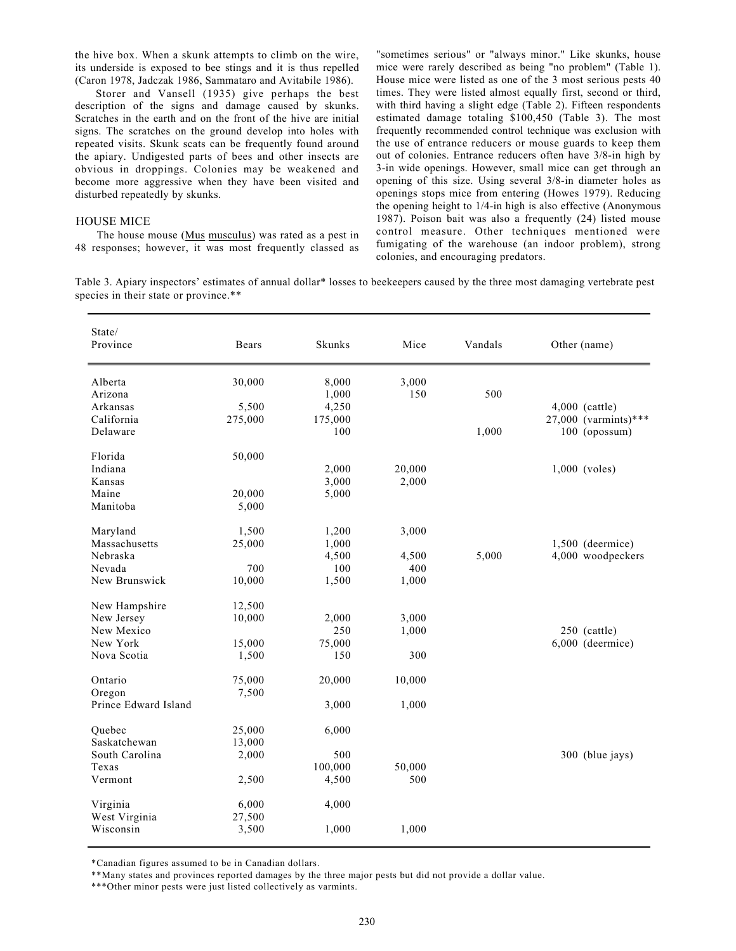the hive box. When a skunk attempts to climb on the wire, its underside is exposed to bee stings and it is thus repelled (Caron 1978, Jadczak 1986, Sammataro and Avitabile 1986).

 Storer and Vansell (1935) give perhaps the best description of the signs and damage caused by skunks. Scratches in the earth and on the front of the hive are initial signs. The scratches on the ground develop into holes with repeated visits. Skunk scats can be frequently found around the apiary. Undigested parts of bees and other insects are obvious in droppings. Colonies may be weakened and become more aggressive when they have been visited and disturbed repeatedly by skunks.

#### HOUSE MICE

The house mouse (Mus musculus) was rated as a pest in 48 responses; however, it was most frequently classed as

"sometimes serious" or "always minor." Like skunks, house mice were rarely described as being "no problem" (Table 1). House mice were listed as one of the 3 most serious pests 40 times. They were listed almost equally first, second or third, with third having a slight edge (Table 2). Fifteen respondents estimated damage totaling \$100,450 (Table 3). The most frequently recommended control technique was exclusion with the use of entrance reducers or mouse guards to keep them out of colonies. Entrance reducers often have 3/8-in high by 3-in wide openings. However, small mice can get through an opening of this size. Using several 3/8-in diameter holes as openings stops mice from entering (Howes 1979). Reducing the opening height to 1/4-in high is also effective (Anonymous 1987). Poison bait was also a frequently (24) listed mouse control measure. Other techniques mentioned were fumigating of the warehouse (an indoor problem), strong colonies, and encouraging predators.

Table 3. Apiary inspectors' estimates of annual dollar\* losses to beekeepers caused by the three most damaging vertebrate pest species in their state or province.\*\*

| State/<br>Province   | Bears   | Skunks  | Mice   | Vandals | Other (name)         |
|----------------------|---------|---------|--------|---------|----------------------|
| Alberta              | 30,000  | 8,000   | 3,000  |         |                      |
| Arizona              |         | 1,000   | 150    | 500     |                      |
| Arkansas             | 5,500   | 4,250   |        |         | 4,000 (cattle)       |
| California           | 275,000 | 175,000 |        |         | 27,000 (varmints)*** |
| Delaware             |         | 100     |        | 1,000   | 100 (opossum)        |
| Florida              | 50,000  |         |        |         |                      |
| Indiana              |         | 2,000   | 20,000 |         | $1,000$ (voles)      |
| Kansas               |         | 3,000   | 2,000  |         |                      |
| Maine                | 20,000  | 5,000   |        |         |                      |
| Manitoba             | 5,000   |         |        |         |                      |
|                      |         |         |        |         |                      |
| Maryland             | 1,500   | 1,200   | 3,000  |         |                      |
| Massachusetts        | 25,000  | 1,000   |        |         | $1,500$ (deermice)   |
| Nebraska             |         | 4,500   | 4,500  | 5,000   | 4,000 woodpeckers    |
| Nevada               | 700     | 100     | 400    |         |                      |
| New Brunswick        | 10,000  | 1,500   | 1,000  |         |                      |
|                      |         |         |        |         |                      |
| New Hampshire        | 12,500  |         |        |         |                      |
| New Jersey           | 10,000  | 2,000   | 3,000  |         |                      |
| New Mexico           |         | 250     | 1,000  |         | 250 (cattle)         |
| New York             | 15,000  | 75,000  |        |         | $6,000$ (deermice)   |
| Nova Scotia          | 1,500   | 150     | 300    |         |                      |
| Ontario              | 75,000  | 20,000  | 10,000 |         |                      |
| Oregon               | 7,500   |         |        |         |                      |
| Prince Edward Island |         | 3,000   | 1,000  |         |                      |
|                      |         |         |        |         |                      |
| Ouebec               | 25,000  | 6,000   |        |         |                      |
| Saskatchewan         | 13,000  |         |        |         |                      |
| South Carolina       | 2,000   | 500     |        |         | 300 (blue jays)      |
| Texas                |         | 100,000 | 50,000 |         |                      |
| Vermont              | 2,500   | 4,500   | 500    |         |                      |
| Virginia             | 6,000   | 4,000   |        |         |                      |
| West Virginia        | 27,500  |         |        |         |                      |
| Wisconsin            | 3,500   | 1,000   | 1,000  |         |                      |
|                      |         |         |        |         |                      |

\*Canadian figures assumed to be in Canadian dollars.

\*\*Many states and provinces reported damages by the three major pests but did not provide a dollar value.

\*\*\*Other minor pests were just listed collectively as varmints.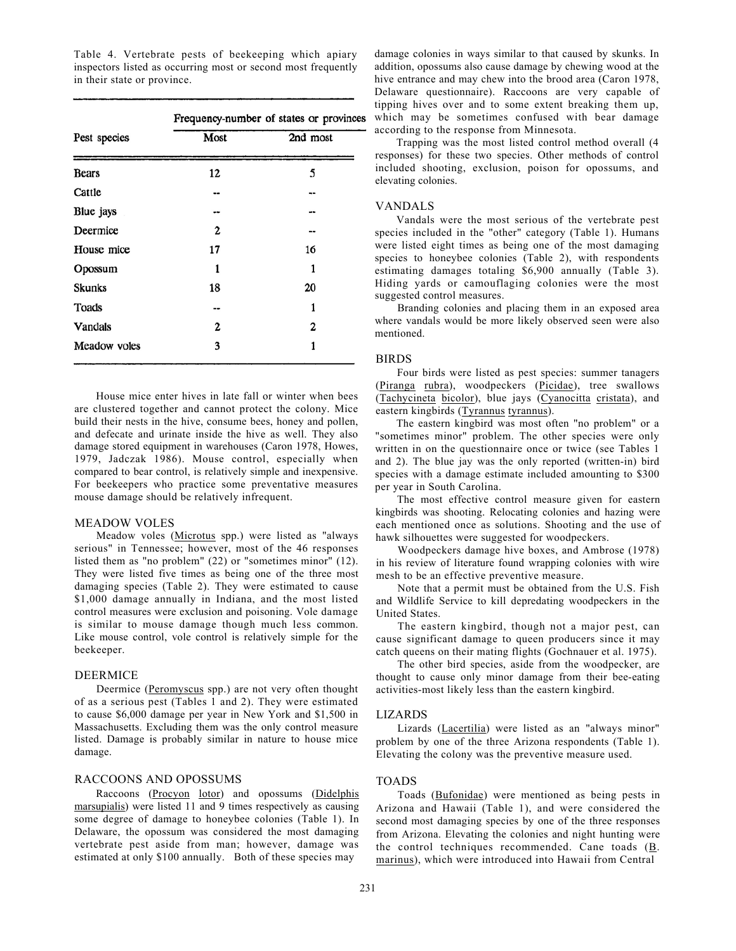Table 4. Vertebrate pests of beekeeping which apiary inspectors listed as occurring most or second most frequently in their state or province.

|              | Frequency-number of states or province |          |  |  |
|--------------|----------------------------------------|----------|--|--|
| Pest species | Most                                   | 2nd most |  |  |
| Bears        | 12                                     | 5        |  |  |
| Cattle       | --                                     |          |  |  |
| Blue jays    | --                                     | --       |  |  |
| Deermice     | 2                                      | --       |  |  |
| House mice   | 17                                     | 16       |  |  |
| Opossum      | 1                                      | 1        |  |  |
| Skunks       | 18                                     | 20       |  |  |
| Toads        | --                                     | 1        |  |  |
| Vandals      | 2                                      | 2        |  |  |
| Meadow voles | 3                                      | 1        |  |  |

House mice enter hives in late fall or winter when bees are clustered together and cannot protect the colony. Mice build their nests in the hive, consume bees, honey and pollen, and defecate and urinate inside the hive as well. They also damage stored equipment in warehouses (Caron 1978, Howes, 1979, Jadczak 1986). Mouse control, especially when compared to bear control, is relatively simple and inexpensive. For beekeepers who practice some preventative measures mouse damage should be relatively infrequent.

#### MEADOW VOLES

Meadow voles (Microtus spp.) were listed as "always serious" in Tennessee; however, most of the 46 responses listed them as "no problem" (22) or "sometimes minor" (12). They were listed five times as being one of the three most damaging species (Table 2). They were estimated to cause \$1,000 damage annually in Indiana, and the most listed control measures were exclusion and poisoning. Vole damage is similar to mouse damage though much less common. Like mouse control, vole control is relatively simple for the beekeeper.

# DEERMICE

Deermice (Peromyscus spp.) are not very often thought of as a serious pest (Tables 1 and 2). They were estimated to cause \$6,000 damage per year in New York and \$1,500 in Massachusetts. Excluding them was the only control measure listed. Damage is probably similar in nature to house mice damage.

# RACCOONS AND OPOSSUMS

Raccoons (Procyon lotor) and opossums (Didelphis marsupialis) were listed 11 and 9 times respectively as causing some degree of damage to honeybee colonies (Table 1). In Delaware, the opossum was considered the most damaging vertebrate pest aside from man; however, damage was estimated at only \$100 annually. Both of these species may

damage colonies in ways similar to that caused by skunks. In addition, opossums also cause damage by chewing wood at the hive entrance and may chew into the brood area (Caron 1978, Delaware questionnaire). Raccoons are very capable of tipping hives over and to some extent breaking them up, s which may be sometimes confused with bear damage according to the response from Minnesota.

Trapping was the most listed control method overall (4 responses) for these two species. Other methods of control included shooting, exclusion, poison for opossums, and elevating colonies.

# VANDALS

Vandals were the most serious of the vertebrate pest species included in the "other" category (Table 1). Humans were listed eight times as being one of the most damaging species to honeybee colonies (Table 2), with respondents estimating damages totaling \$6,900 annually (Table 3). Hiding yards or camouflaging colonies were the most suggested control measures.

Branding colonies and placing them in an exposed area where vandals would be more likely observed seen were also mentioned.

# BIRDS

Four birds were listed as pest species: summer tanagers (Piranga rubra), woodpeckers (Picidae), tree swallows (Tachycineta bicolor), blue jays (Cyanocitta cristata), and eastern kingbirds (Tyrannus tyrannus).

The eastern kingbird was most often "no problem" or a "sometimes minor" problem. The other species were only written in on the questionnaire once or twice (see Tables 1 and 2). The blue jay was the only reported (written-in) bird species with a damage estimate included amounting to \$300 per year in South Carolina.

The most effective control measure given for eastern kingbirds was shooting. Relocating colonies and hazing were each mentioned once as solutions. Shooting and the use of hawk silhouettes were suggested for woodpeckers.

Woodpeckers damage hive boxes, and Ambrose (1978) in his review of literature found wrapping colonies with wire mesh to be an effective preventive measure.

Note that a permit must be obtained from the U.S. Fish and Wildlife Service to kill depredating woodpeckers in the United States.

The eastern kingbird, though not a major pest, can cause significant damage to queen producers since it may catch queens on their mating flights (Gochnauer et al. 1975).

The other bird species, aside from the woodpecker, are thought to cause only minor damage from their bee-eating activities-most likely less than the eastern kingbird.

#### LIZARDS

Lizards (Lacertilia) were listed as an "always minor" problem by one of the three Arizona respondents (Table 1). Elevating the colony was the preventive measure used.

# TOADS

Toads (Bufonidae) were mentioned as being pests in Arizona and Hawaii (Table 1), and were considered the second most damaging species by one of the three responses from Arizona. Elevating the colonies and night hunting were the control techniques recommended. Cane toads  $(B)$ . marinus), which were introduced into Hawaii from Central